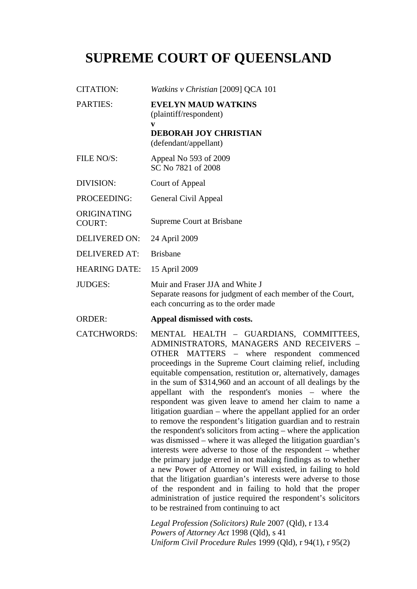# **SUPREME COURT OF QUEENSLAND**

| <b>CITATION:</b>             | Watkins v Christian [2009] QCA 101                                                                                                                                                                                                                                                                                                                                                                                                                                                                                                                                                                                                                                                                                                                                                                                                                                                                                                                                                                                                                                                                                                                                    |
|------------------------------|-----------------------------------------------------------------------------------------------------------------------------------------------------------------------------------------------------------------------------------------------------------------------------------------------------------------------------------------------------------------------------------------------------------------------------------------------------------------------------------------------------------------------------------------------------------------------------------------------------------------------------------------------------------------------------------------------------------------------------------------------------------------------------------------------------------------------------------------------------------------------------------------------------------------------------------------------------------------------------------------------------------------------------------------------------------------------------------------------------------------------------------------------------------------------|
| <b>PARTIES:</b>              | <b>EVELYN MAUD WATKINS</b><br>(plaintiff/respondent)                                                                                                                                                                                                                                                                                                                                                                                                                                                                                                                                                                                                                                                                                                                                                                                                                                                                                                                                                                                                                                                                                                                  |
|                              | V<br><b>DEBORAH JOY CHRISTIAN</b><br>(defendant/appellant)                                                                                                                                                                                                                                                                                                                                                                                                                                                                                                                                                                                                                                                                                                                                                                                                                                                                                                                                                                                                                                                                                                            |
| FILE NO/S:                   | Appeal No 593 of 2009<br>SC No 7821 of 2008                                                                                                                                                                                                                                                                                                                                                                                                                                                                                                                                                                                                                                                                                                                                                                                                                                                                                                                                                                                                                                                                                                                           |
| DIVISION:                    | Court of Appeal                                                                                                                                                                                                                                                                                                                                                                                                                                                                                                                                                                                                                                                                                                                                                                                                                                                                                                                                                                                                                                                                                                                                                       |
| PROCEEDING:                  | General Civil Appeal                                                                                                                                                                                                                                                                                                                                                                                                                                                                                                                                                                                                                                                                                                                                                                                                                                                                                                                                                                                                                                                                                                                                                  |
| ORIGINATING<br><b>COURT:</b> | Supreme Court at Brisbane                                                                                                                                                                                                                                                                                                                                                                                                                                                                                                                                                                                                                                                                                                                                                                                                                                                                                                                                                                                                                                                                                                                                             |
| <b>DELIVERED ON:</b>         | 24 April 2009                                                                                                                                                                                                                                                                                                                                                                                                                                                                                                                                                                                                                                                                                                                                                                                                                                                                                                                                                                                                                                                                                                                                                         |
| <b>DELIVERED AT:</b>         | <b>Brisbane</b>                                                                                                                                                                                                                                                                                                                                                                                                                                                                                                                                                                                                                                                                                                                                                                                                                                                                                                                                                                                                                                                                                                                                                       |
| <b>HEARING DATE:</b>         | 15 April 2009                                                                                                                                                                                                                                                                                                                                                                                                                                                                                                                                                                                                                                                                                                                                                                                                                                                                                                                                                                                                                                                                                                                                                         |
| <b>JUDGES:</b>               | Muir and Fraser JJA and White J<br>Separate reasons for judgment of each member of the Court,<br>each concurring as to the order made                                                                                                                                                                                                                                                                                                                                                                                                                                                                                                                                                                                                                                                                                                                                                                                                                                                                                                                                                                                                                                 |
| <b>ORDER:</b>                | Appeal dismissed with costs.                                                                                                                                                                                                                                                                                                                                                                                                                                                                                                                                                                                                                                                                                                                                                                                                                                                                                                                                                                                                                                                                                                                                          |
| <b>CATCHWORDS:</b>           | MENTAL HEALTH - GUARDIANS, COMMITTEES,<br>ADMINISTRATORS, MANAGERS AND RECEIVERS -<br>OTHER MATTERS - where respondent commenced<br>proceedings in the Supreme Court claiming relief, including<br>equitable compensation, restitution or, alternatively, damages<br>in the sum of \$314,960 and an account of all dealings by the<br>appellant with the respondent's monies – where the<br>respondent was given leave to amend her claim to name a<br>litigation guardian – where the appellant applied for an order<br>to remove the respondent's litigation guardian and to restrain<br>the respondent's solicitors from acting – where the application<br>was dismissed – where it was alleged the litigation guardian's<br>interests were adverse to those of the respondent – whether<br>the primary judge erred in not making findings as to whether<br>a new Power of Attorney or Will existed, in failing to hold<br>that the litigation guardian's interests were adverse to those<br>of the respondent and in failing to hold that the proper<br>administration of justice required the respondent's solicitors<br>to be restrained from continuing to act |

*Legal Profession (Solicitors) Rule* 2007 (Qld), r 13.4 *Powers of Attorney Act* 1998 (Qld), s 41 *Uniform Civil Procedure Rules* 1999 (Qld), r 94(1), r 95(2)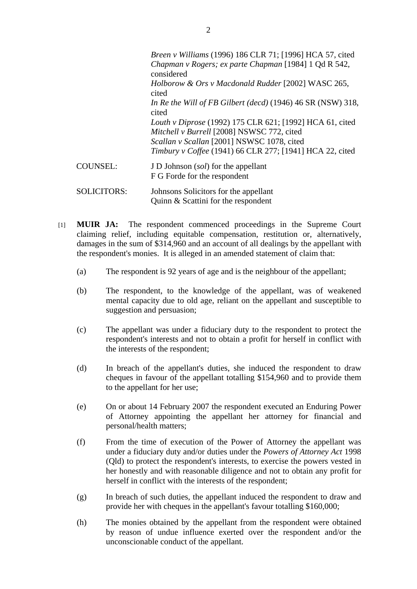|                    | Breen v Williams (1996) 186 CLR 71; [1996] HCA 57, cited<br>Chapman v Rogers; ex parte Chapman [1984] 1 Qd R 542, |
|--------------------|-------------------------------------------------------------------------------------------------------------------|
|                    | considered<br>Holborow & Ors v Macdonald Rudder [2002] WASC 265,<br>cited                                         |
|                    | In Re the Will of FB Gilbert (decd) (1946) 46 SR (NSW) 318,<br>cited                                              |
|                    | Louth v Diprose (1992) 175 CLR 621; [1992] HCA 61, cited<br>Mitchell v Burrell [2008] NSWSC 772, cited            |
|                    | Scallan v Scallan [2001] NSWSC 1078, cited<br>Timbury v Coffee (1941) 66 CLR 277; [1941] HCA 22, cited            |
| <b>COUNSEL:</b>    | J D Johnson (sol) for the appellant<br>F G Forde for the respondent                                               |
| <b>SOLICITORS:</b> | Johnsons Solicitors for the appellant<br>Quinn & Scattini for the respondent                                      |

- [1] **MUIR JA:** The respondent commenced proceedings in the Supreme Court claiming relief, including equitable compensation, restitution or, alternatively, damages in the sum of \$314,960 and an account of all dealings by the appellant with the respondent's monies. It is alleged in an amended statement of claim that:
	- (a) The respondent is 92 years of age and is the neighbour of the appellant;
	- (b) The respondent, to the knowledge of the appellant, was of weakened mental capacity due to old age, reliant on the appellant and susceptible to suggestion and persuasion;
	- (c) The appellant was under a fiduciary duty to the respondent to protect the respondent's interests and not to obtain a profit for herself in conflict with the interests of the respondent;
	- (d) In breach of the appellant's duties, she induced the respondent to draw cheques in favour of the appellant totalling \$154,960 and to provide them to the appellant for her use;
	- (e) On or about 14 February 2007 the respondent executed an Enduring Power of Attorney appointing the appellant her attorney for financial and personal/health matters;
	- (f) From the time of execution of the Power of Attorney the appellant was under a fiduciary duty and/or duties under the *Powers of Attorney Act* 1998 (Qld) to protect the respondent's interests, to exercise the powers vested in her honestly and with reasonable diligence and not to obtain any profit for herself in conflict with the interests of the respondent;
	- (g) In breach of such duties, the appellant induced the respondent to draw and provide her with cheques in the appellant's favour totalling \$160,000;
	- (h) The monies obtained by the appellant from the respondent were obtained by reason of undue influence exerted over the respondent and/or the unconscionable conduct of the appellant.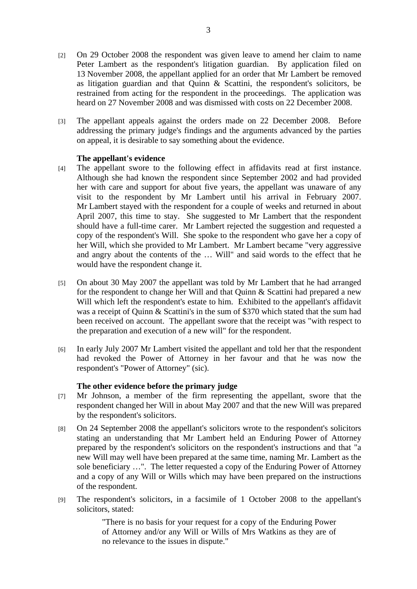- [2] On 29 October 2008 the respondent was given leave to amend her claim to name Peter Lambert as the respondent's litigation guardian. By application filed on 13 November 2008, the appellant applied for an order that Mr Lambert be removed as litigation guardian and that Quinn & Scattini, the respondent's solicitors, be restrained from acting for the respondent in the proceedings. The application was heard on 27 November 2008 and was dismissed with costs on 22 December 2008.
- [3] The appellant appeals against the orders made on 22 December 2008. Before addressing the primary judge's findings and the arguments advanced by the parties on appeal, it is desirable to say something about the evidence.

#### **The appellant's evidence**

- [4] The appellant swore to the following effect in affidavits read at first instance. Although she had known the respondent since September 2002 and had provided her with care and support for about five years, the appellant was unaware of any visit to the respondent by Mr Lambert until his arrival in February 2007. Mr Lambert stayed with the respondent for a couple of weeks and returned in about April 2007, this time to stay. She suggested to Mr Lambert that the respondent should have a full-time carer. Mr Lambert rejected the suggestion and requested a copy of the respondent's Will. She spoke to the respondent who gave her a copy of her Will, which she provided to Mr Lambert. Mr Lambert became "very aggressive and angry about the contents of the … Will" and said words to the effect that he would have the respondent change it.
- [5] On about 30 May 2007 the appellant was told by Mr Lambert that he had arranged for the respondent to change her Will and that Quinn & Scattini had prepared a new Will which left the respondent's estate to him. Exhibited to the appellant's affidavit was a receipt of Quinn & Scattini's in the sum of \$370 which stated that the sum had been received on account. The appellant swore that the receipt was "with respect to the preparation and execution of a new will" for the respondent.
- [6] In early July 2007 Mr Lambert visited the appellant and told her that the respondent had revoked the Power of Attorney in her favour and that he was now the respondent's "Power of Attorney" (sic).

#### **The other evidence before the primary judge**

- [7] Mr Johnson, a member of the firm representing the appellant, swore that the respondent changed her Will in about May 2007 and that the new Will was prepared by the respondent's solicitors.
- [8] On 24 September 2008 the appellant's solicitors wrote to the respondent's solicitors stating an understanding that Mr Lambert held an Enduring Power of Attorney prepared by the respondent's solicitors on the respondent's instructions and that "a new Will may well have been prepared at the same time, naming Mr. Lambert as the sole beneficiary …". The letter requested a copy of the Enduring Power of Attorney and a copy of any Will or Wills which may have been prepared on the instructions of the respondent.
- [9] The respondent's solicitors, in a facsimile of 1 October 2008 to the appellant's solicitors, stated:

"There is no basis for your request for a copy of the Enduring Power of Attorney and/or any Will or Wills of Mrs Watkins as they are of no relevance to the issues in dispute."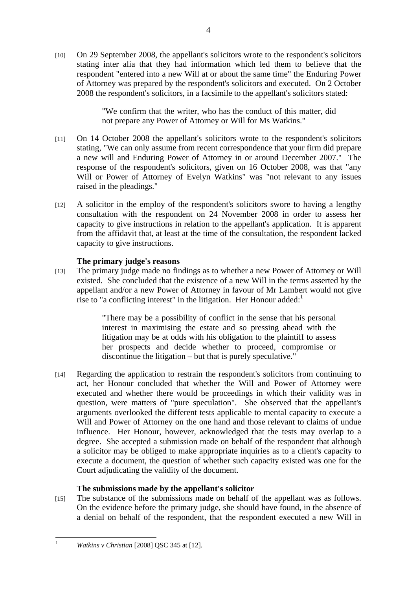[10] On 29 September 2008, the appellant's solicitors wrote to the respondent's solicitors stating inter alia that they had information which led them to believe that the respondent "entered into a new Will at or about the same time" the Enduring Power of Attorney was prepared by the respondent's solicitors and executed. On 2 October 2008 the respondent's solicitors, in a facsimile to the appellant's solicitors stated:

> "We confirm that the writer, who has the conduct of this matter, did not prepare any Power of Attorney or Will for Ms Watkins."

- [11] On 14 October 2008 the appellant's solicitors wrote to the respondent's solicitors stating, "We can only assume from recent correspondence that your firm did prepare a new will and Enduring Power of Attorney in or around December 2007." The response of the respondent's solicitors, given on 16 October 2008, was that "any Will or Power of Attorney of Evelyn Watkins" was "not relevant to any issues raised in the pleadings."
- [12] A solicitor in the employ of the respondent's solicitors swore to having a lengthy consultation with the respondent on 24 November 2008 in order to assess her capacity to give instructions in relation to the appellant's application. It is apparent from the affidavit that, at least at the time of the consultation, the respondent lacked capacity to give instructions.

#### **The primary judge's reasons**

[13] The primary judge made no findings as to whether a new Power of Attorney or Will existed. She concluded that the existence of a new Will in the terms asserted by the appellant and/or a new Power of Attorney in favour of Mr Lambert would not give rise to "a conflicting interest" in the litigation. Her Honour added: $1$ 

> "There may be a possibility of conflict in the sense that his personal interest in maximising the estate and so pressing ahead with the litigation may be at odds with his obligation to the plaintiff to assess her prospects and decide whether to proceed, compromise or discontinue the litigation – but that is purely speculative."

[14] Regarding the application to restrain the respondent's solicitors from continuing to act, her Honour concluded that whether the Will and Power of Attorney were executed and whether there would be proceedings in which their validity was in question, were matters of "pure speculation". She observed that the appellant's arguments overlooked the different tests applicable to mental capacity to execute a Will and Power of Attorney on the one hand and those relevant to claims of undue influence. Her Honour, however, acknowledged that the tests may overlap to a degree. She accepted a submission made on behalf of the respondent that although a solicitor may be obliged to make appropriate inquiries as to a client's capacity to execute a document, the question of whether such capacity existed was one for the Court adjudicating the validity of the document.

## **The submissions made by the appellant's solicitor**

[15] The substance of the submissions made on behalf of the appellant was as follows. On the evidence before the primary judge, she should have found, in the absence of a denial on behalf of the respondent, that the respondent executed a new Will in

 $\frac{1}{1}$ 

*Watkins v Christian* [2008] QSC 345 at [12].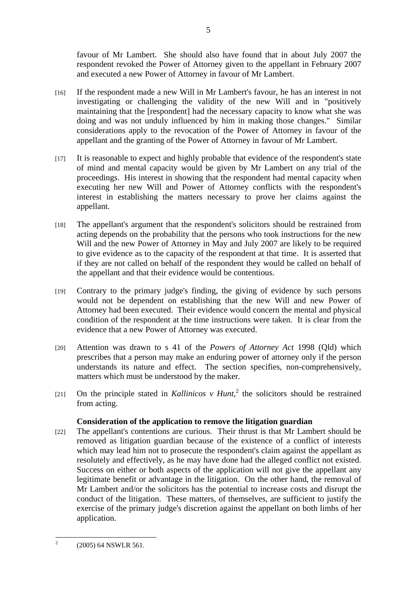favour of Mr Lambert. She should also have found that in about July 2007 the respondent revoked the Power of Attorney given to the appellant in February 2007 and executed a new Power of Attorney in favour of Mr Lambert.

- [16] If the respondent made a new Will in Mr Lambert's favour, he has an interest in not investigating or challenging the validity of the new Will and in "positively maintaining that the [respondent] had the necessary capacity to know what she was doing and was not unduly influenced by him in making those changes." Similar considerations apply to the revocation of the Power of Attorney in favour of the appellant and the granting of the Power of Attorney in favour of Mr Lambert.
- [17] It is reasonable to expect and highly probable that evidence of the respondent's state of mind and mental capacity would be given by Mr Lambert on any trial of the proceedings. His interest in showing that the respondent had mental capacity when executing her new Will and Power of Attorney conflicts with the respondent's interest in establishing the matters necessary to prove her claims against the appellant.
- [18] The appellant's argument that the respondent's solicitors should be restrained from acting depends on the probability that the persons who took instructions for the new Will and the new Power of Attorney in May and July 2007 are likely to be required to give evidence as to the capacity of the respondent at that time. It is asserted that if they are not called on behalf of the respondent they would be called on behalf of the appellant and that their evidence would be contentious.
- [19] Contrary to the primary judge's finding, the giving of evidence by such persons would not be dependent on establishing that the new Will and new Power of Attorney had been executed. Their evidence would concern the mental and physical condition of the respondent at the time instructions were taken. It is clear from the evidence that a new Power of Attorney was executed.
- [20] Attention was drawn to s 41 of the *Powers of Attorney Act* 1998 (Qld) which prescribes that a person may make an enduring power of attorney only if the person understands its nature and effect. The section specifies, non-comprehensively, matters which must be understood by the maker.
- [21] On the principle stated in *Kallinicos v Hunt*,<sup>2</sup> the solicitors should be restrained from acting.

## **Consideration of the application to remove the litigation guardian**

[22] The appellant's contentions are curious. Their thrust is that Mr Lambert should be removed as litigation guardian because of the existence of a conflict of interests which may lead him not to prosecute the respondent's claim against the appellant as resolutely and effectively, as he may have done had the alleged conflict not existed. Success on either or both aspects of the application will not give the appellant any legitimate benefit or advantage in the litigation. On the other hand, the removal of Mr Lambert and/or the solicitors has the potential to increase costs and disrupt the conduct of the litigation. These matters, of themselves, are sufficient to justify the exercise of the primary judge's discretion against the appellant on both limbs of her application.

 $\frac{1}{2}$ (2005) 64 NSWLR 561.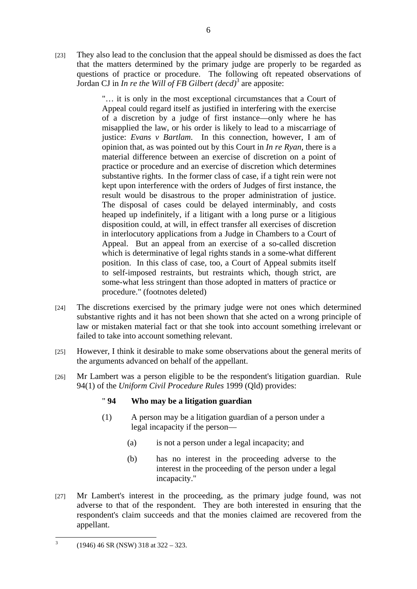[23] They also lead to the conclusion that the appeal should be dismissed as does the fact that the matters determined by the primary judge are properly to be regarded as questions of practice or procedure. The following oft repeated observations of Jordan CJ in *In re the Will of FB Gilbert (decd)*<sup>3</sup> are apposite:

> "… it is only in the most exceptional circumstances that a Court of Appeal could regard itself as justified in interfering with the exercise of a discretion by a judge of first instance––only where he has misapplied the law, or his order is likely to lead to a miscarriage of justice: *Evans v Bartlam*. In this connection, however, I am of opinion that, as was pointed out by this Court in *In re Ryan*, there is a material difference between an exercise of discretion on a point of practice or procedure and an exercise of discretion which determines substantive rights. In the former class of case, if a tight rein were not kept upon interference with the orders of Judges of first instance, the result would be disastrous to the proper administration of justice. The disposal of cases could be delayed interminably, and costs heaped up indefinitely, if a litigant with a long purse or a litigious disposition could, at will, in effect transfer all exercises of discretion in interlocutory applications from a Judge in Chambers to a Court of Appeal. But an appeal from an exercise of a so-called discretion which is determinative of legal rights stands in a some-what different position. In this class of case, too, a Court of Appeal submits itself to self-imposed restraints, but restraints which, though strict, are some-what less stringent than those adopted in matters of practice or procedure." (footnotes deleted)

- [24] The discretions exercised by the primary judge were not ones which determined substantive rights and it has not been shown that she acted on a wrong principle of law or mistaken material fact or that she took into account something irrelevant or failed to take into account something relevant.
- [25] However, I think it desirable to make some observations about the general merits of the arguments advanced on behalf of the appellant.
- [26] Mr Lambert was a person eligible to be the respondent's litigation guardian. Rule 94(1) of the *Uniform Civil Procedure Rules* 1999 (Qld) provides:

## " **94 Who may be a litigation guardian**

- (1) A person may be a litigation guardian of a person under a legal incapacity if the person—
	- (a) is not a person under a legal incapacity; and
	- (b) has no interest in the proceeding adverse to the interest in the proceeding of the person under a legal incapacity."
- [27] Mr Lambert's interest in the proceeding, as the primary judge found, was not adverse to that of the respondent. They are both interested in ensuring that the respondent's claim succeeds and that the monies claimed are recovered from the appellant.

<sup>&</sup>lt;sup>2</sup><br>3 (1946) 46 SR (NSW) 318 at 322 – 323.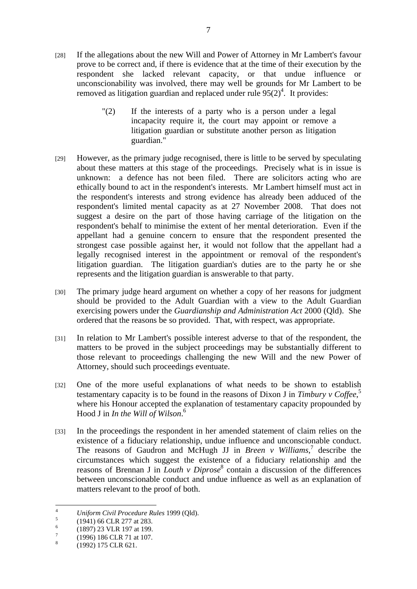- [28] If the allegations about the new Will and Power of Attorney in Mr Lambert's favour prove to be correct and, if there is evidence that at the time of their execution by the respondent she lacked relevant capacity, or that undue influence or unconscionability was involved, there may well be grounds for Mr Lambert to be removed as litigation guardian and replaced under rule  $95(2)^4$ . It provides:
	- "(2) If the interests of a party who is a person under a legal incapacity require it, the court may appoint or remove a litigation guardian or substitute another person as litigation guardian."
- [29] However, as the primary judge recognised, there is little to be served by speculating about these matters at this stage of the proceedings. Precisely what is in issue is unknown: a defence has not been filed. There are solicitors acting who are ethically bound to act in the respondent's interests. Mr Lambert himself must act in the respondent's interests and strong evidence has already been adduced of the respondent's limited mental capacity as at 27 November 2008. That does not suggest a desire on the part of those having carriage of the litigation on the respondent's behalf to minimise the extent of her mental deterioration. Even if the appellant had a genuine concern to ensure that the respondent presented the strongest case possible against her, it would not follow that the appellant had a legally recognised interest in the appointment or removal of the respondent's litigation guardian. The litigation guardian's duties are to the party he or she represents and the litigation guardian is answerable to that party.
- [30] The primary judge heard argument on whether a copy of her reasons for judgment should be provided to the Adult Guardian with a view to the Adult Guardian exercising powers under the *Guardianship and Administration Act* 2000 (Qld). She ordered that the reasons be so provided. That, with respect, was appropriate.
- [31] In relation to Mr Lambert's possible interest adverse to that of the respondent, the matters to be proved in the subject proceedings may be substantially different to those relevant to proceedings challenging the new Will and the new Power of Attorney, should such proceedings eventuate.
- [32] One of the more useful explanations of what needs to be shown to establish testamentary capacity is to be found in the reasons of Dixon J in *Timbury v Coffee*, 5 where his Honour accepted the explanation of testamentary capacity propounded by Hood J in *In the Will of Wilson*. 6
- [33] In the proceedings the respondent in her amended statement of claim relies on the existence of a fiduciary relationship, undue influence and unconscionable conduct. The reasons of Gaudron and McHugh JJ in *Breen v Williams*,<sup>7</sup> describe the circumstances which suggest the existence of a fiduciary relationship and the reasons of Brennan J in *Louth v Diprose*<sup>8</sup> contain a discussion of the differences between unconscionable conduct and undue influence as well as an explanation of matters relevant to the proof of both.

 $\frac{1}{4}$ *Uniform Civil Procedure Rules* 1999 (Qld). 5

 <sup>(1941) 66</sup> CLR 277 at 283.

<sup>6</sup> (1897) 23 VLR 197 at 199.

<sup>7</sup> (1996) 186 CLR 71 at 107.

<sup>8</sup> (1992) 175 CLR 621.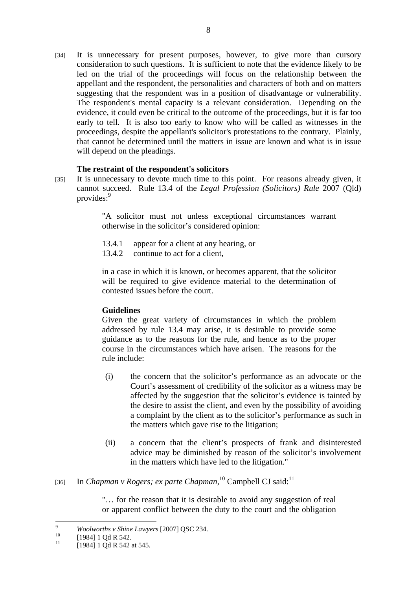[34] It is unnecessary for present purposes, however, to give more than cursory consideration to such questions. It is sufficient to note that the evidence likely to be led on the trial of the proceedings will focus on the relationship between the appellant and the respondent, the personalities and characters of both and on matters suggesting that the respondent was in a position of disadvantage or vulnerability. The respondent's mental capacity is a relevant consideration. Depending on the evidence, it could even be critical to the outcome of the proceedings, but it is far too early to tell. It is also too early to know who will be called as witnesses in the proceedings, despite the appellant's solicitor's protestations to the contrary. Plainly, that cannot be determined until the matters in issue are known and what is in issue will depend on the pleadings.

#### **The restraint of the respondent's solicitors**

[35] It is unnecessary to devote much time to this point. For reasons already given, it cannot succeed. Rule 13.4 of the *Legal Profession (Solicitors) Rule* 2007 (Qld) provides:<sup>9</sup>

> "A solicitor must not unless exceptional circumstances warrant otherwise in the solicitor's considered opinion:

- 13.4.1 appear for a client at any hearing, or
- 13.4.2 continue to act for a client.

in a case in which it is known, or becomes apparent, that the solicitor will be required to give evidence material to the determination of contested issues before the court.

## **Guidelines**

Given the great variety of circumstances in which the problem addressed by rule 13.4 may arise, it is desirable to provide some guidance as to the reasons for the rule, and hence as to the proper course in the circumstances which have arisen. The reasons for the rule include:

- (i) the concern that the solicitor's performance as an advocate or the Court's assessment of credibility of the solicitor as a witness may be affected by the suggestion that the solicitor's evidence is tainted by the desire to assist the client, and even by the possibility of avoiding a complaint by the client as to the solicitor's performance as such in the matters which gave rise to the litigation;
- (ii) a concern that the client's prospects of frank and disinterested advice may be diminished by reason of the solicitor's involvement in the matters which have led to the litigation."

## [36] In *Chapman v Rogers; ex parte Chapman*,<sup>10</sup> Campbell CJ said:<sup>11</sup>

"… for the reason that it is desirable to avoid any suggestion of real or apparent conflict between the duty to the court and the obligation

<sup>-&</sup>lt;br>9 <sup>9</sup> *Woolworths v Shine Lawyers* [2007] QSC 234.<br><sup>10</sup> [1984] 1 Qd R 542.

<sup>[1984] 1</sup> Qd R 542 at 545.